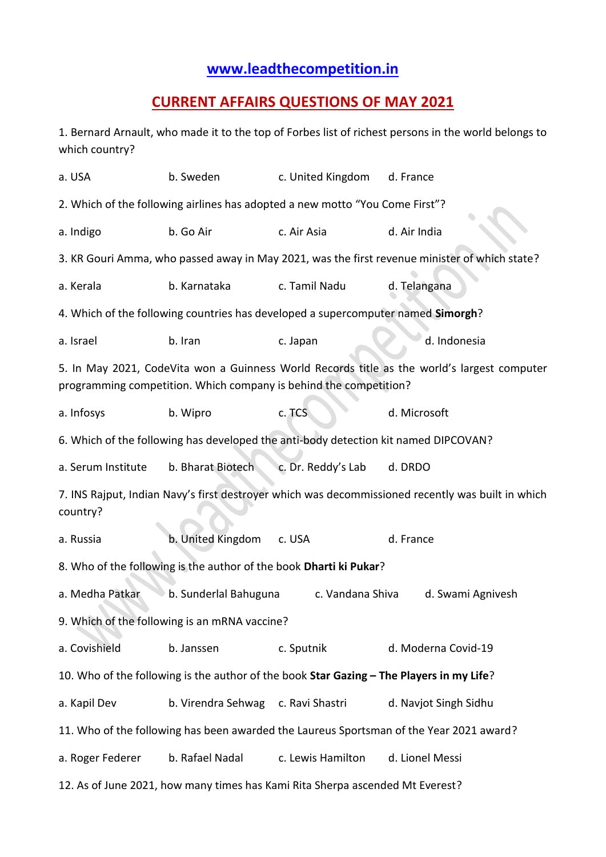## **[www.leadthecompetition.in](http://www.leadthecompetition.in/)**

## **CURRENT AFFAIRS QUESTIONS OF MAY 2021**

1. Bernard Arnault, who made it to the top of Forbes list of richest persons in the world belongs to which country?

| a. USA                                                                                                                                                           | b. Sweden                                                                               | c. United Kingdom  | d. France                                                                                     |  |  |  |  |  |  |  |  |
|------------------------------------------------------------------------------------------------------------------------------------------------------------------|-----------------------------------------------------------------------------------------|--------------------|-----------------------------------------------------------------------------------------------|--|--|--|--|--|--|--|--|
| 2. Which of the following airlines has adopted a new motto "You Come First"?                                                                                     |                                                                                         |                    |                                                                                               |  |  |  |  |  |  |  |  |
| a. Indigo                                                                                                                                                        | b. Go Air                                                                               | c. Air Asia        | d. Air India                                                                                  |  |  |  |  |  |  |  |  |
|                                                                                                                                                                  |                                                                                         |                    | 3. KR Gouri Amma, who passed away in May 2021, was the first revenue minister of which state? |  |  |  |  |  |  |  |  |
| a. Kerala                                                                                                                                                        | b. Karnataka                                                                            | c. Tamil Nadu      | d. Telangana                                                                                  |  |  |  |  |  |  |  |  |
| 4. Which of the following countries has developed a supercomputer named Simorgh?                                                                                 |                                                                                         |                    |                                                                                               |  |  |  |  |  |  |  |  |
| a. Israel                                                                                                                                                        | b. Iran                                                                                 | c. Japan           | d. Indonesia                                                                                  |  |  |  |  |  |  |  |  |
| 5. In May 2021, CodeVita won a Guinness World Records title as the world's largest computer<br>programming competition. Which company is behind the competition? |                                                                                         |                    |                                                                                               |  |  |  |  |  |  |  |  |
| a. Infosys                                                                                                                                                       | b. Wipro                                                                                | c. TCS             | d. Microsoft                                                                                  |  |  |  |  |  |  |  |  |
|                                                                                                                                                                  | 6. Which of the following has developed the anti-body detection kit named DIPCOVAN?     |                    |                                                                                               |  |  |  |  |  |  |  |  |
| a. Serum Institute                                                                                                                                               | b. Bharat Biotech                                                                       | c. Dr. Reddy's Lab | d. DRDO                                                                                       |  |  |  |  |  |  |  |  |
| 7. INS Rajput, Indian Navy's first destroyer which was decommissioned recently was built in which<br>country?                                                    |                                                                                         |                    |                                                                                               |  |  |  |  |  |  |  |  |
| a. Russia                                                                                                                                                        | b. United Kingdom                                                                       | c. USA             | d. France                                                                                     |  |  |  |  |  |  |  |  |
|                                                                                                                                                                  | 8. Who of the following is the author of the book Dharti ki Pukar?                      |                    |                                                                                               |  |  |  |  |  |  |  |  |
| a. Medha Patkar                                                                                                                                                  | b. Sunderlal Bahuguna                                                                   | c. Vandana Shiva   | d. Swami Agnivesh                                                                             |  |  |  |  |  |  |  |  |
|                                                                                                                                                                  | 9. Which of the following is an mRNA vaccine?                                           |                    |                                                                                               |  |  |  |  |  |  |  |  |
| a. Covishield                                                                                                                                                    | b. Janssen                                                                              | c. Sputnik         | d. Moderna Covid-19                                                                           |  |  |  |  |  |  |  |  |
| 10. Who of the following is the author of the book Star Gazing - The Players in my Life?                                                                         |                                                                                         |                    |                                                                                               |  |  |  |  |  |  |  |  |
| a. Kapil Dev                                                                                                                                                     | b. Virendra Sehwag c. Ravi Shastri                                                      |                    | d. Navjot Singh Sidhu                                                                         |  |  |  |  |  |  |  |  |
|                                                                                                                                                                  | 11. Who of the following has been awarded the Laureus Sportsman of the Year 2021 award? |                    |                                                                                               |  |  |  |  |  |  |  |  |
| a. Roger Federer                                                                                                                                                 | b. Rafael Nadal                                                                         | c. Lewis Hamilton  | d. Lionel Messi                                                                               |  |  |  |  |  |  |  |  |
| 12. As of June 2021, how many times has Kami Rita Sherpa ascended Mt Everest?                                                                                    |                                                                                         |                    |                                                                                               |  |  |  |  |  |  |  |  |